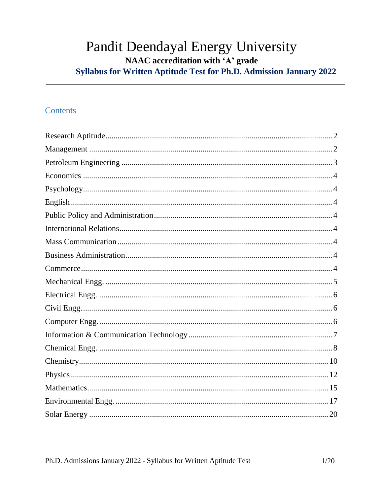# Pandit Deendayal Energy University NAAC accreditation with 'A' grade Syllabus for Written Aptitude Test for Ph.D. Admission January 2022

# **Contents**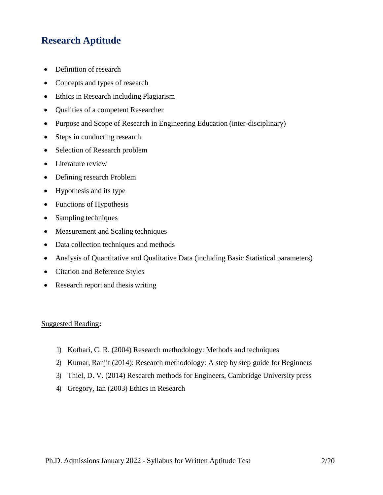# <span id="page-1-0"></span>**Research Aptitude**

- Definition of research
- Concepts and types of research
- Ethics in Research including Plagiarism
- Qualities of a competent Researcher
- Purpose and Scope of Research in Engineering Education (inter-disciplinary)
- Steps in conducting research
- Selection of Research problem
- Literature review
- Defining research Problem
- Hypothesis and its type
- Functions of Hypothesis
- Sampling techniques
- Measurement and Scaling techniques
- Data collection techniques and methods
- Analysis of Quantitative and Qualitative Data (including Basic Statistical parameters)
- Citation and Reference Styles
- Research report and thesis writing

### Suggested Reading**:**

- 1) Kothari, C. R. (2004) Research methodology: Methods and techniques
- 2) Kumar, Ranjit (2014): Research methodology: A step by step guide for Beginners
- 3) Thiel, D. V. (2014) Research methods for Engineers, Cambridge University press
- 4) Gregory, Ian (2003) Ethics in Research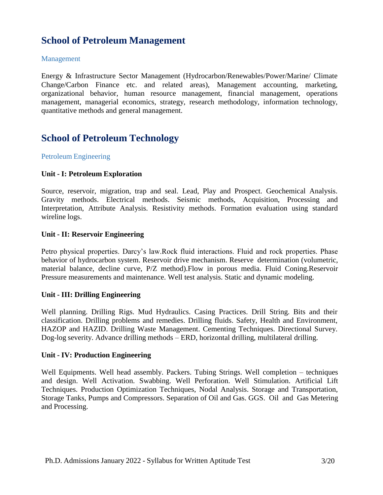# **School of Petroleum Management**

## <span id="page-2-0"></span>Management

Energy & Infrastructure Sector Management (Hydrocarbon/Renewables/Power/Marine/ Climate Change/Carbon Finance etc. and related areas), Management accounting, marketing, organizational behavior, human resource management, financial management, operations management, managerial economics, strategy, research methodology, information technology, quantitative methods and general management.

# **School of Petroleum Technology**

## <span id="page-2-1"></span>Petroleum Engineering

## **Unit - I: Petroleum Exploration**

Source, reservoir, migration, trap and seal. Lead, Play and Prospect. Geochemical Analysis. Gravity methods. Electrical methods. Seismic methods, Acquisition, Processing and Interpretation, Attribute Analysis. Resistivity methods. Formation evaluation using standard wireline logs.

### **Unit - II: Reservoir Engineering**

Petro physical properties. Darcy's law.Rock fluid interactions. Fluid and rock properties. Phase behavior of hydrocarbon system. Reservoir drive mechanism. Reserve determination (volumetric, material balance, decline curve, P/Z method).Flow in porous media. Fluid Coning.Reservoir Pressure measurements and maintenance. Well test analysis. Static and dynamic modeling.

### **Unit - III: Drilling Engineering**

Well planning. Drilling Rigs. Mud Hydraulics. Casing Practices. Drill String. Bits and their classification. Drilling problems and remedies. Drilling fluids. Safety, Health and Environment, HAZOP and HAZID. Drilling Waste Management. Cementing Techniques. Directional Survey. Dog-log severity. Advance drilling methods – ERD, horizontal drilling, multilateral drilling.

### **Unit - IV: Production Engineering**

Well Equipments. Well head assembly. Packers. Tubing Strings. Well completion – techniques and design. Well Activation. Swabbing. Well Perforation. Well Stimulation. Artificial Lift Techniques. Production Optimization Techniques, Nodal Analysis. Storage and Transportation, Storage Tanks, Pumps and Compressors. Separation of Oil and Gas. GGS. Oil and Gas Metering and Processing.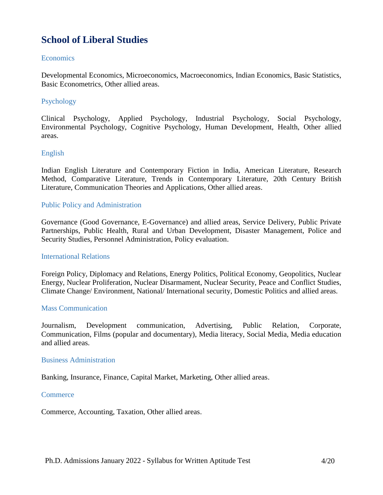# **School of Liberal Studies**

## <span id="page-3-0"></span>**Economics**

Developmental Economics, Microeconomics, Macroeconomics, Indian Economics, Basic Statistics, Basic Econometrics, Other allied areas.

# <span id="page-3-1"></span>Psychology

Clinical Psychology, Applied Psychology, Industrial Psychology, Social Psychology, Environmental Psychology, Cognitive Psychology, Human Development, Health, Other allied areas.

# <span id="page-3-2"></span>English

Indian English Literature and Contemporary Fiction in India, American Literature, Research Method, Comparative Literature, Trends in Contemporary Literature, 20th Century British Literature, Communication Theories and Applications, Other allied areas.

## <span id="page-3-3"></span>Public Policy and Administration

Governance (Good Governance, E-Governance) and allied areas, Service Delivery, Public Private Partnerships, Public Health, Rural and Urban Development, Disaster Management, Police and Security Studies, Personnel Administration, Policy evaluation.

### <span id="page-3-4"></span>International Relations

Foreign Policy, Diplomacy and Relations, Energy Politics, Political Economy, Geopolitics, Nuclear Energy, Nuclear Proliferation, Nuclear Disarmament, Nuclear Security, Peace and Conflict Studies, Climate Change/ Environment, National/ International security, Domestic Politics and allied areas.

### <span id="page-3-5"></span>Mass Communication

Journalism, Development communication, Advertising, Public Relation, Corporate, Communication, Films (popular and documentary), Media literacy, Social Media, Media education and allied areas.

### <span id="page-3-6"></span>Business Administration

Banking, Insurance, Finance, Capital Market, Marketing, Other allied areas.

#### <span id="page-3-7"></span>**Commerce**

Commerce, Accounting, Taxation, Other allied areas.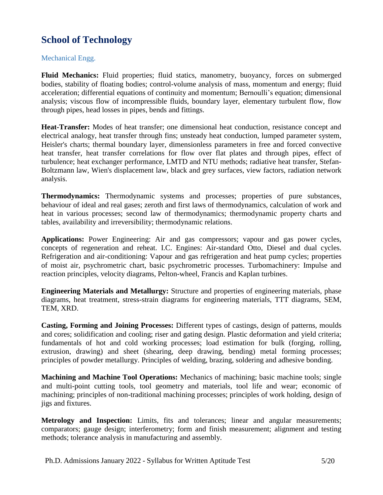# **School of Technology**

# <span id="page-4-0"></span>Mechanical Engg.

**Fluid Mechanics:** Fluid properties; fluid statics, manometry, buoyancy, forces on submerged bodies, stability of floating bodies; control-volume analysis of mass, momentum and energy; fluid acceleration; differential equations of continuity and momentum; Bernoulli's equation; dimensional analysis; viscous flow of incompressible fluids, boundary layer, elementary turbulent flow, flow through pipes, head losses in pipes, bends and fittings.

**Heat-Transfer:** Modes of heat transfer; one dimensional heat conduction, resistance concept and electrical analogy, heat transfer through fins; unsteady heat conduction, lumped parameter system, Heisler's charts; thermal boundary layer, dimensionless parameters in free and forced convective heat transfer, heat transfer correlations for flow over flat plates and through pipes, effect of turbulence; heat exchanger performance, LMTD and NTU methods; radiative heat transfer, Stefan-Boltzmann law, Wien's displacement law, black and grey surfaces, view factors, radiation network analysis.

**Thermodynamics:** Thermodynamic systems and processes; properties of pure substances, behaviour of ideal and real gases; zeroth and first laws of thermodynamics, calculation of work and heat in various processes; second law of thermodynamics; thermodynamic property charts and tables, availability and irreversibility; thermodynamic relations.

**Applications:** Power Engineering: Air and gas compressors; vapour and gas power cycles, concepts of regeneration and reheat. I.C. Engines: Air-standard Otto, Diesel and dual cycles. Refrigeration and air-conditioning: Vapour and gas refrigeration and heat pump cycles; properties of moist air, psychrometric chart, basic psychrometric processes. Turbomachinery: Impulse and reaction principles, velocity diagrams, Pelton-wheel, Francis and Kaplan turbines.

**Engineering Materials and Metallurgy:** Structure and properties of engineering materials, phase diagrams, heat treatment, stress-strain diagrams for engineering materials, TTT diagrams, SEM, TEM, XRD.

**Casting, Forming and Joining Processes:** Different types of castings, design of patterns, moulds and cores; solidification and cooling; riser and gating design. Plastic deformation and yield criteria; fundamentals of hot and cold working processes; load estimation for bulk (forging, rolling, extrusion, drawing) and sheet (shearing, deep drawing, bending) metal forming processes; principles of powder metallurgy. Principles of welding, brazing, soldering and adhesive bonding.

**Machining and Machine Tool Operations:** Mechanics of machining; basic machine tools; single and multi-point cutting tools, tool geometry and materials, tool life and wear; economic of machining; principles of non-traditional machining processes; principles of work holding, design of jigs and fixtures.

**Metrology and Inspection:** Limits, fits and tolerances; linear and angular measurements; comparators; gauge design; interferometry; form and finish measurement; alignment and testing methods; tolerance analysis in manufacturing and assembly.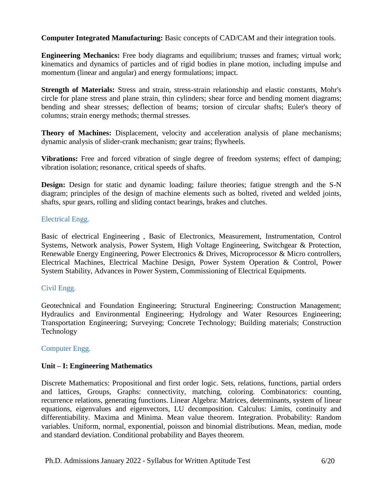**Computer Integrated Manufacturing:** Basic concepts of CAD/CAM and their integration tools.

**Engineering Mechanics:** Free body diagrams and equilibrium; trusses and frames; virtual work; kinematics and dynamics of particles and of rigid bodies in plane motion, including impulse and momentum (linear and angular) and energy formulations; impact.

**Strength of Materials:** Stress and strain, stress-strain relationship and elastic constants, Mohr's circle for plane stress and plane strain, thin cylinders; shear force and bending moment diagrams; bending and shear stresses; deflection of beams; torsion of circular shafts; Euler's theory of columns; strain energy methods; thermal stresses.

**Theory of Machines:** Displacement, velocity and acceleration analysis of plane mechanisms; dynamic analysis of slider-crank mechanism; gear trains; flywheels.

**Vibrations:** Free and forced vibration of single degree of freedom systems; effect of damping; vibration isolation; resonance, critical speeds of shafts.

**Design:** Design for static and dynamic loading; failure theories; fatigue strength and the S-N diagram; principles of the design of machine elements such as bolted, riveted and welded joints, shafts, spur gears, rolling and sliding contact bearings, brakes and clutches.

# <span id="page-5-0"></span>Electrical Engg.

Basic of electrical Engineering , Basic of Electronics, Measurement, Instrumentation, Control Systems, Network analysis, Power System, High Voltage Engineering, Switchgear & Protection, Renewable Energy Engineering, Power Electronics & Drives, Microprocessor & Micro controllers, Electrical Machines, Electrical Machine Design, Power System Operation & Control, Power System Stability, Advances in Power System, Commissioning of Electrical Equipments.

# <span id="page-5-1"></span>Civil Engg.

Geotechnical and Foundation Engineering; Structural Engineering; Construction Management; Hydraulics and Environmental Engineering; Hydrology and Water Resources Engineering; Transportation Engineering; Surveying; Concrete Technology; Building materials; Construction Technology

# <span id="page-5-2"></span>Computer Engg.

# **Unit – I: Engineering Mathematics**

Discrete Mathematics: Propositional and first order logic. Sets, relations, functions, partial orders and lattices, Groups, Graphs: connectivity, matching, coloring. Combinatorics: counting, recurrence relations, generating functions. Linear Algebra: Matrices, determinants, system of linear equations, eigenvalues and eigenvectors, LU decomposition. Calculus: Limits, continuity and differentiability. Maxima and Minima. Mean value theorem. Integration. Probability: Random variables. Uniform, normal, exponential, poisson and binomial distributions. Mean, median, mode and standard deviation. Conditional probability and Bayes theorem.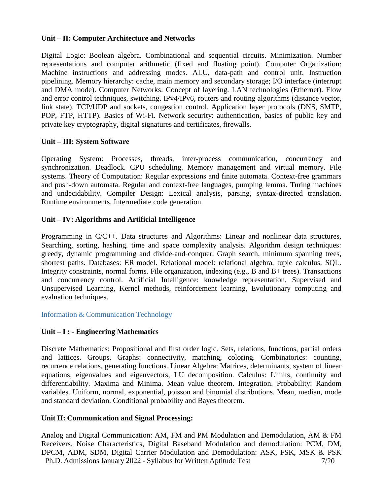## **Unit – II: Computer Architecture and Networks**

Digital Logic: Boolean algebra. Combinational and sequential circuits. Minimization. Number representations and computer arithmetic (fixed and floating point). Computer Organization: Machine instructions and addressing modes. ALU, data-path and control unit. Instruction pipelining. Memory hierarchy: cache, main memory and secondary storage; I/O interface (interrupt and DMA mode). Computer Networks: Concept of layering. LAN technologies (Ethernet). Flow and error control techniques, switching. IPv4/IPv6, routers and routing algorithms (distance vector, link state). TCP/UDP and sockets, congestion control. Application layer protocols (DNS, SMTP, POP, FTP, HTTP). Basics of Wi-Fi. Network security: authentication, basics of public key and private key cryptography, digital signatures and certificates, firewalls.

## **Unit – III: System Software**

Operating System: Processes, threads, inter‐process communication, concurrency and synchronization. Deadlock. CPU scheduling. Memory management and virtual memory. File systems. Theory of Computation: Regular expressions and finite automata. Context-free grammars and push-down automata. Regular and context-free languages, pumping lemma. Turing machines and undecidability. Compiler Design: Lexical analysis, parsing, syntax-directed translation. Runtime environments. Intermediate code generation.

## **Unit – IV: Algorithms and Artificial Intelligence**

Programming in C/C++. Data structures and Algorithms: Linear and nonlinear data structures, Searching, sorting, hashing. time and space complexity analysis. Algorithm design techniques: greedy, dynamic programming and divide‐and‐conquer. Graph search, minimum spanning trees, shortest paths. Databases: ER‐model. Relational model: relational algebra, tuple calculus, SQL. Integrity constraints, normal forms. File organization, indexing (e.g., B and B+ trees). Transactions and concurrency control. Artificial Intelligence: knowledge representation, Supervised and Unsupervised Learning, Kernel methods, reinforcement learning, Evolutionary computing and evaluation techniques.

<span id="page-6-0"></span>Information & Communication Technology

# **Unit – I : - Engineering Mathematics**

Discrete Mathematics: Propositional and first order logic. Sets, relations, functions, partial orders and lattices. Groups. Graphs: connectivity, matching, coloring. Combinatorics: counting, recurrence relations, generating functions. Linear Algebra: Matrices, determinants, system of linear equations, eigenvalues and eigenvectors, LU decomposition. Calculus: Limits, continuity and differentiability. Maxima and Minima. Mean value theorem. Integration. Probability: Random variables. Uniform, normal, exponential, poisson and binomial distributions. Mean, median, mode and standard deviation. Conditional probability and Bayes theorem.

### **Unit II: Communication and Signal Processing:**

Ph.D. Admissions January 2022 - Syllabus for Written Aptitude Test 7/20 Analog and Digital Communication: AM, FM and PM Modulation and Demodulation, AM & FM Receivers, Noise Characteristics, Digital Baseband Modulation and demodulation: PCM, DM, DPCM, ADM, SDM, Digital Carrier Modulation and Demodulation: ASK, FSK, MSK & PSK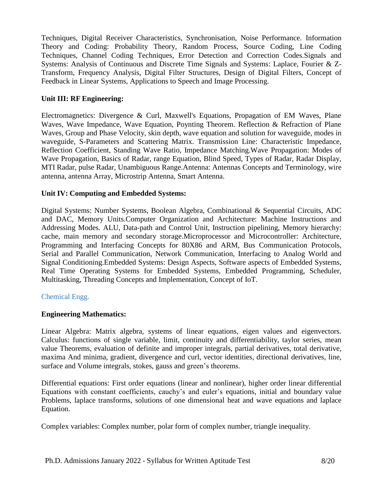Techniques, Digital Receiver Characteristics, Synchronisation, Noise Performance. Information Theory and Coding: Probability Theory, Random Process, Source Coding, Line Coding Techniques, Channel Coding Techniques, Error Detection and Correction Codes.Signals and Systems: Analysis of Continuous and Discrete Time Signals and Systems: Laplace, Fourier & Z-Transform, Frequency Analysis, Digital Filter Structures, Design of Digital Filters, Concept of Feedback in Linear Systems, Applications to Speech and Image Processing.

# **Unit III: RF Engineering:**

Electromagnetics: Divergence & Curl, Maxwell's Equations, Propagation of EM Waves, Plane Waves, Wave Impedance, Wave Equation, Poynting Theorem. Reflection & Refraction of Plane Waves, Group and Phase Velocity, skin depth, wave equation and solution for waveguide, modes in waveguide, S-Parameters and Scattering Matrix. Transmission Line: Characteristic Impedance, Reflection Coefficient, Standing Wave Ratio, Impedance Matching.Wave Propagation: Modes of Wave Propagation, Basics of Radar, range Equation, Blind Speed, Types of Radar, Radar Display, MTI Radar, pulse Radar, Unambiguous Range.Antenna: Antennas Concepts and Terminology, wire antenna, antenna Array, Microstrip Antenna, Smart Antenna.

# **Unit IV: Computing and Embedded Systems:**

Digital Systems: Number Systems, Boolean Algebra, Combinational & Sequential Circuits, ADC and DAC, Memory Units.Computer Organization and Architecture: Machine Instructions and Addressing Modes. ALU, Data-path and Control Unit, Instruction pipelining, Memory hierarchy: cache, main memory and secondary storage.Microprocessor and Microcontroller: Architecture, Programming and Interfacing Concepts for 80X86 and ARM, Bus Communication Protocols, Serial and Parallel Communication, Network Communication, Interfacing to Analog World and Signal Conditioning.Embedded Systems: Design Aspects, Software aspects of Embedded Systems, Real Time Operating Systems for Embedded Systems, Embedded Programming, Scheduler, Multitasking, Threading Concepts and Implementation, Concept of IoT.

# <span id="page-7-0"></span>Chemical Engg.

# **Engineering Mathematics:**

Linear Algebra: Matrix algebra, systems of linear equations, eigen values and eigenvectors. Calculus: functions of single variable, limit, continuity and differentiability, taylor series, mean value Theorems, evaluation of definite and improper integrals, partial derivatives, total derivative, maxima And minima, gradient, divergence and curl, vector identities, directional derivatives, line, surface and Volume integrals, stokes, gauss and green's theorems.

Differential equations: First order equations (linear and nonlinear), higher order linear differential Equations with constant coefficients, cauchy's and euler's equations, initial and boundary value Problems, laplace transforms, solutions of one dimensional heat and wave equations and laplace Equation.

Complex variables: Complex number, polar form of complex number, triangle inequality.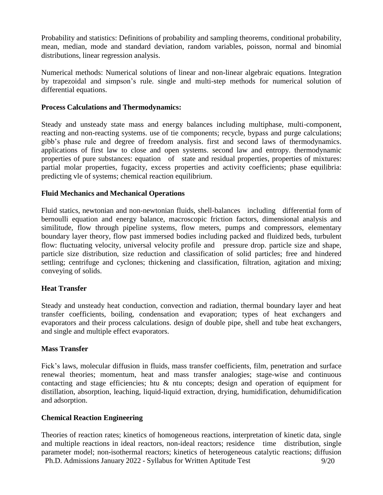Probability and statistics: Definitions of probability and sampling theorems, conditional probability, mean, median, mode and standard deviation, random variables, poisson, normal and binomial distributions, linear regression analysis.

Numerical methods: Numerical solutions of linear and non-linear algebraic equations. Integration by trapezoidal and simpson's rule. single and multi-step methods for numerical solution of differential equations.

### **Process Calculations and Thermodynamics:**

Steady and unsteady state mass and energy balances including multiphase, multi-component, reacting and non-reacting systems. use of tie components; recycle, bypass and purge calculations; gibb's phase rule and degree of freedom analysis. first and second laws of thermodynamics. applications of first law to close and open systems. second law and entropy. thermodynamic properties of pure substances: equation of state and residual properties, properties of mixtures: partial molar properties, fugacity, excess properties and activity coefficients; phase equilibria: predicting vle of systems; chemical reaction equilibrium.

## **Fluid Mechanics and Mechanical Operations**

Fluid statics, newtonian and non-newtonian fluids, shell-balances including differential form of bernoulli equation and energy balance, macroscopic friction factors, dimensional analysis and similitude, flow through pipeline systems, flow meters, pumps and compressors, elementary boundary layer theory, flow past immersed bodies including packed and fluidized beds, turbulent flow: fluctuating velocity, universal velocity profile and pressure drop. particle size and shape, particle size distribution, size reduction and classification of solid particles; free and hindered settling; centrifuge and cyclones; thickening and classification, filtration, agitation and mixing; conveying of solids.

# **Heat Transfer**

Steady and unsteady heat conduction, convection and radiation, thermal boundary layer and heat transfer coefficients, boiling, condensation and evaporation; types of heat exchangers and evaporators and their process calculations. design of double pipe, shell and tube heat exchangers, and single and multiple effect evaporators.

# **Mass Transfer**

Fick's laws, molecular diffusion in fluids, mass transfer coefficients, film, penetration and surface renewal theories; momentum, heat and mass transfer analogies; stage-wise and continuous contacting and stage efficiencies; htu & ntu concepts; design and operation of equipment for distillation, absorption, leaching, liquid-liquid extraction, drying, humidification, dehumidification and adsorption.

# **Chemical Reaction Engineering**

Ph.D. Admissions January 2022 - Syllabus for Written Aptitude Test 9/20 Theories of reaction rates; kinetics of homogeneous reactions, interpretation of kinetic data, single and multiple reactions in ideal reactors, non-ideal reactors; residence time distribution, single parameter model; non-isothermal reactors; kinetics of heterogeneous catalytic reactions; diffusion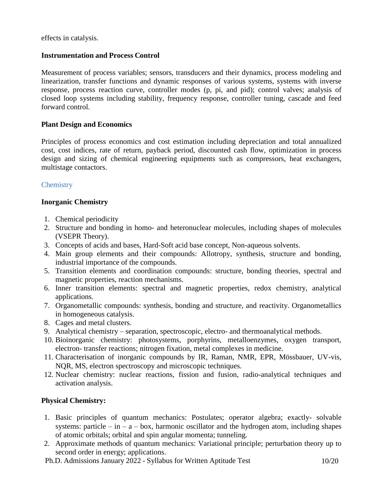effects in catalysis.

## **Instrumentation and Process Control**

Measurement of process variables; sensors, transducers and their dynamics, process modeling and linearization, transfer functions and dynamic responses of various systems, systems with inverse response, process reaction curve, controller modes (p, pi, and pid); control valves; analysis of closed loop systems including stability, frequency response, controller tuning, cascade and feed forward control.

## **Plant Design and Economics**

Principles of process economics and cost estimation including depreciation and total annualized cost, cost indices, rate of return, payback period, discounted cash flow, optimization in process design and sizing of chemical engineering equipments such as compressors, heat exchangers, multistage contactors.

# <span id="page-9-0"></span>**Chemistry**

# **Inorganic Chemistry**

- 1. Chemical periodicity
- 2. Structure and bonding in homo- and heteronuclear molecules, including shapes of molecules (VSEPR Theory).
- 3. Concepts of acids and bases, Hard-Soft acid base concept, Non-aqueous solvents.
- 4. Main group elements and their compounds: Allotropy, synthesis, structure and bonding, industrial importance of the compounds.
- 5. Transition elements and coordination compounds: structure, bonding theories, spectral and magnetic properties, reaction mechanisms.
- 6. Inner transition elements: spectral and magnetic properties, redox chemistry, analytical applications.
- 7. Organometallic compounds: synthesis, bonding and structure, and reactivity. Organometallics in homogeneous catalysis.
- 8. Cages and metal clusters.
- 9. Analytical chemistry separation, spectroscopic, electro- and thermoanalytical methods.
- 10. Bioinorganic chemistry: photosystems, porphyrins, metalloenzymes, oxygen transport, electron- transfer reactions; nitrogen fixation, metal complexes in medicine.
- 11. Characterisation of inorganic compounds by IR, Raman, NMR, EPR, Mössbauer, UV-vis, NQR, MS, electron spectroscopy and microscopic techniques.
- 12. Nuclear chemistry: nuclear reactions, fission and fusion, radio-analytical techniques and activation analysis.

# **Physical Chemistry:**

- 1. Basic principles of quantum mechanics: Postulates; operator algebra; exactly- solvable systems: particle – in –  $a - box$ , harmonic oscillator and the hydrogen atom, including shapes of atomic orbitals; orbital and spin angular momenta; tunneling.
- 2. Approximate methods of quantum mechanics: Variational principle; perturbation theory up to second order in energy; applications.
- Ph.D. Admissions January 2022 Syllabus for Written Aptitude Test 10/20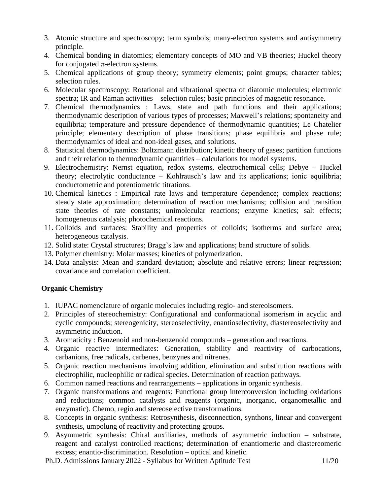- 3. Atomic structure and spectroscopy; term symbols; many-electron systems and antisymmetry principle.
- 4. Chemical bonding in diatomics; elementary concepts of MO and VB theories; Huckel theory for conjugated  $\pi$ -electron systems.
- 5. Chemical applications of group theory; symmetry elements; point groups; character tables; selection rules.
- 6. Molecular spectroscopy: Rotational and vibrational spectra of diatomic molecules; electronic spectra; IR and Raman activities – selection rules; basic principles of magnetic resonance.
- 7. Chemical thermodynamics : Laws, state and path functions and their applications; thermodynamic description of various types of processes; Maxwell's relations; spontaneity and equilibria; temperature and pressure dependence of thermodynamic quantities; Le Chatelier principle; elementary description of phase transitions; phase equilibria and phase rule; thermodynamics of ideal and non-ideal gases, and solutions.
- 8. Statistical thermodynamics: Boltzmann distribution; kinetic theory of gases; partition functions and their relation to thermodynamic quantities – calculations for model systems.
- 9. Electrochemistry: Nernst equation, redox systems, electrochemical cells; Debye Huckel theory; electrolytic conductance – Kohlrausch's law and its applications; ionic equilibria; conductometric and potentiometric titrations.
- 10. Chemical kinetics : Empirical rate laws and temperature dependence; complex reactions; steady state approximation; determination of reaction mechanisms; collision and transition state theories of rate constants; unimolecular reactions; enzyme kinetics; salt effects; homogeneous catalysis; photochemical reactions.
- 11. Colloids and surfaces: Stability and properties of colloids; isotherms and surface area; heterogeneous catalysis.
- 12. Solid state: Crystal structures; Bragg's law and applications; band structure of solids.
- 13. Polymer chemistry: Molar masses; kinetics of polymerization.
- 14. Data analysis: Mean and standard deviation; absolute and relative errors; linear regression; covariance and correlation coefficient.

# **Organic Chemistry**

- 1. IUPAC nomenclature of organic molecules including regio- and stereoisomers.
- 2. Principles of stereochemistry: Configurational and conformational isomerism in acyclic and cyclic compounds; stereogenicity, stereoselectivity, enantioselectivity, diastereoselectivity and asymmetric induction.
- 3. Aromaticity : Benzenoid and non-benzenoid compounds generation and reactions.
- 4. Organic reactive intermediates: Generation, stability and reactivity of carbocations, carbanions, free radicals, carbenes, benzynes and nitrenes.
- 5. Organic reaction mechanisms involving addition, elimination and substitution reactions with electrophilic, nucleophilic or radical species. Determination of reaction pathways.
- 6. Common named reactions and rearrangements applications in organic synthesis.
- 7. Organic transformations and reagents: Functional group interconversion including oxidations and reductions; common catalysts and reagents (organic, inorganic, organometallic and enzymatic). Chemo, regio and stereoselective transformations.
- 8. Concepts in organic synthesis: Retrosynthesis, disconnection, synthons, linear and convergent synthesis, umpolung of reactivity and protecting groups.
- 9. Asymmetric synthesis: Chiral auxiliaries, methods of asymmetric induction substrate, reagent and catalyst controlled reactions; determination of enantiomeric and diastereomeric excess; enantio-discrimination. Resolution – optical and kinetic.
- Ph.D. Admissions January 2022 Syllabus for Written Aptitude Test 11/20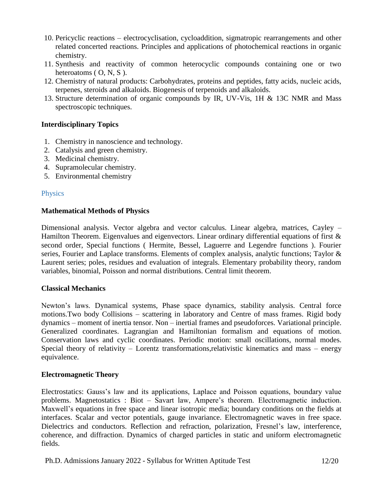- 10. Pericyclic reactions electrocyclisation, cycloaddition, sigmatropic rearrangements and other related concerted reactions. Principles and applications of photochemical reactions in organic chemistry.
- 11. Synthesis and reactivity of common heterocyclic compounds containing one or two heteroatoms  $($  O, N, S  $)$ .
- 12. Chemistry of natural products: Carbohydrates, proteins and peptides, fatty acids, nucleic acids, terpenes, steroids and alkaloids. Biogenesis of terpenoids and alkaloids.
- 13. Structure determination of organic compounds by IR, UV-Vis, 1H & 13C NMR and Mass spectroscopic techniques.

## **Interdisciplinary Topics**

- 1. Chemistry in nanoscience and technology.
- 2. Catalysis and green chemistry.
- 3. Medicinal chemistry.
- 4. Supramolecular chemistry.
- 5. Environmental chemistry

### <span id="page-11-0"></span>**Physics**

### **Mathematical Methods of Physics**

Dimensional analysis. Vector algebra and vector calculus. Linear algebra, matrices, Cayley – Hamilton Theorem. Eigenvalues and eigenvectors. Linear ordinary differential equations of first  $\&$ second order, Special functions ( Hermite, Bessel, Laguerre and Legendre functions ). Fourier series, Fourier and Laplace transforms. Elements of complex analysis, analytic functions; Taylor & Laurent series; poles, residues and evaluation of integrals. Elementary probability theory, random variables, binomial, Poisson and normal distributions. Central limit theorem.

### **Classical Mechanics**

Newton's laws. Dynamical systems, Phase space dynamics, stability analysis. Central force motions.Two body Collisions – scattering in laboratory and Centre of mass frames. Rigid body dynamics – moment of inertia tensor. Non – inertial frames and pseudoforces. Variational principle. Generalized coordinates. Lagrangian and Hamiltonian formalism and equations of motion. Conservation laws and cyclic coordinates. Periodic motion: small oscillations, normal modes. Special theory of relativity – Lorentz transformations,relativistic kinematics and mass – energy equivalence.

### **Electromagnetic Theory**

Electrostatics: Gauss's law and its applications, Laplace and Poisson equations, boundary value problems. Magnetostatics : Biot – Savart law, Ampere's theorem. Electromagnetic induction. Maxwell's equations in free space and linear isotropic media; boundary conditions on the fields at interfaces. Scalar and vector potentials, gauge invariance. Electromagnetic waves in free space. Dielectrics and conductors. Reflection and refraction, polarization, Fresnel's law, interference, coherence, and diffraction. Dynamics of charged particles in static and uniform electromagnetic fields.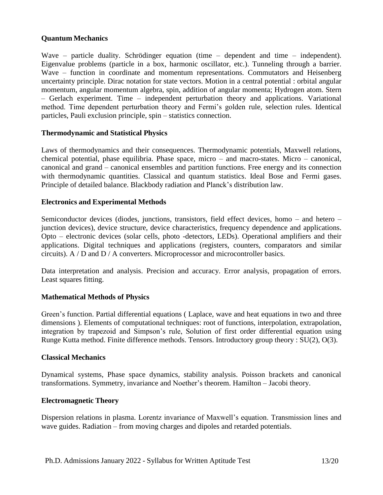## **Quantum Mechanics**

Wave – particle duality. Schrödinger equation (time – dependent and time – independent). Eigenvalue problems (particle in a box, harmonic oscillator, etc.). Tunneling through a barrier. Wave – function in coordinate and momentum representations. Commutators and Heisenberg uncertainty principle. Dirac notation for state vectors. Motion in a central potential : orbital angular momentum, angular momentum algebra, spin, addition of angular momenta; Hydrogen atom. Stern – Gerlach experiment. Time – independent perturbation theory and applications. Variational method. Time dependent perturbation theory and Fermi's golden rule, selection rules. Identical particles, Pauli exclusion principle, spin – statistics connection.

## **Thermodynamic and Statistical Physics**

Laws of thermodynamics and their consequences. Thermodynamic potentials, Maxwell relations, chemical potential, phase equilibria. Phase space, micro – and macro-states. Micro – canonical, canonical and grand – canonical ensembles and partition functions. Free energy and its connection with thermodynamic quantities. Classical and quantum statistics. Ideal Bose and Fermi gases. Principle of detailed balance. Blackbody radiation and Planck's distribution law.

### **Electronics and Experimental Methods**

Semiconductor devices (diodes, junctions, transistors, field effect devices, homo – and hetero – junction devices), device structure, device characteristics, frequency dependence and applications. Opto – electronic devices (solar cells, photo -detectors, LEDs). Operational amplifiers and their applications. Digital techniques and applications (registers, counters, comparators and similar circuits). A / D and D / A converters. Microprocessor and microcontroller basics.

Data interpretation and analysis. Precision and accuracy. Error analysis, propagation of errors. Least squares fitting.

# **Mathematical Methods of Physics**

Green's function. Partial differential equations ( Laplace, wave and heat equations in two and three dimensions ). Elements of computational techniques: root of functions, interpolation, extrapolation, integration by trapezoid and Simpson's rule, Solution of first order differential equation using Runge Kutta method. Finite difference methods. Tensors. Introductory group theory : SU(2), O(3).

### **Classical Mechanics**

Dynamical systems, Phase space dynamics, stability analysis. Poisson brackets and canonical transformations. Symmetry, invariance and Noether's theorem. Hamilton – Jacobi theory.

### **Electromagnetic Theory**

Dispersion relations in plasma. Lorentz invariance of Maxwell's equation. Transmission lines and wave guides. Radiation – from moving charges and dipoles and retarded potentials.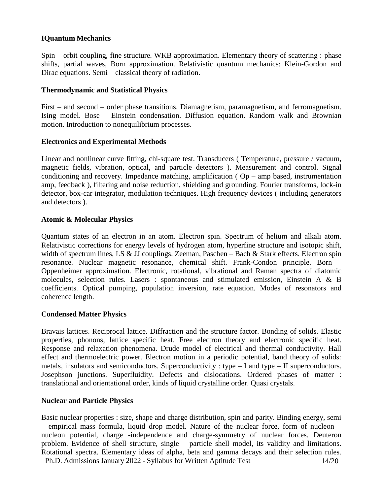## **IQuantum Mechanics**

Spin – orbit coupling, fine structure. WKB approximation. Elementary theory of scattering : phase shifts, partial waves, Born approximation. Relativistic quantum mechanics: Klein-Gordon and Dirac equations. Semi – classical theory of radiation.

### **Thermodynamic and Statistical Physics**

First – and second – order phase transitions. Diamagnetism, paramagnetism, and ferromagnetism. Ising model. Bose – Einstein condensation. Diffusion equation. Random walk and Brownian motion. Introduction to nonequilibrium processes.

## **Electronics and Experimental Methods**

Linear and nonlinear curve fitting, chi-square test. Transducers ( Temperature, pressure / vacuum, magnetic fields, vibration, optical, and particle detectors ). Measurement and control. Signal conditioning and recovery. Impedance matching, amplification ( $Op$  – amp based, instrumentation amp, feedback ), filtering and noise reduction, shielding and grounding. Fourier transforms, lock-in detector, box-car integrator, modulation techniques. High frequency devices ( including generators and detectors ).

## **Atomic & Molecular Physics**

Quantum states of an electron in an atom. Electron spin. Spectrum of helium and alkali atom. Relativistic corrections for energy levels of hydrogen atom, hyperfine structure and isotopic shift, width of spectrum lines, LS & JJ couplings. Zeeman, Paschen – Bach & Stark effects. Electron spin resonance. Nuclear magnetic resonance, chemical shift. Frank-Condon principle. Born – Oppenheimer approximation. Electronic, rotational, vibrational and Raman spectra of diatomic molecules, selection rules. Lasers : spontaneous and stimulated emission, Einstein A & B coefficients. Optical pumping, population inversion, rate equation. Modes of resonators and coherence length.

### **Condensed Matter Physics**

Bravais lattices. Reciprocal lattice. Diffraction and the structure factor. Bonding of solids. Elastic properties, phonons, lattice specific heat. Free electron theory and electronic specific heat. Response and relaxation phenomena. Drude model of electrical and thermal conductivity. Hall effect and thermoelectric power. Electron motion in a periodic potential, band theory of solids: metals, insulators and semiconductors. Superconductivity : type – I and type – II superconductors. Josephson junctions. Superfluidity. Defects and dislocations. Ordered phases of matter : translational and orientational order, kinds of liquid crystalline order. Quasi crystals.

# **Nuclear and Particle Physics**

Ph.D. Admissions January 2022 - Syllabus for Written Aptitude Test 14/20 Basic nuclear properties : size, shape and charge distribution, spin and parity. Binding energy, semi – empirical mass formula, liquid drop model. Nature of the nuclear force, form of nucleon – nucleon potential, charge -independence and charge-symmetry of nuclear forces. Deuteron problem. Evidence of shell structure, single – particle shell model, its validity and limitations. Rotational spectra. Elementary ideas of alpha, beta and gamma decays and their selection rules.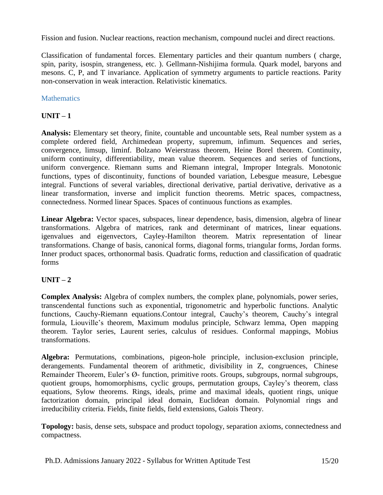Fission and fusion. Nuclear reactions, reaction mechanism, compound nuclei and direct reactions.

Classification of fundamental forces. Elementary particles and their quantum numbers ( charge, spin, parity, isospin, strangeness, etc. ). Gellmann-Nishijima formula. Quark model, baryons and mesons. C, P, and T invariance. Application of symmetry arguments to particle reactions. Parity non-conservation in weak interaction. Relativistic kinematics.

# <span id="page-14-0"></span>**Mathematics**

# $UNIT - 1$

**Analysis:** Elementary set theory, finite, countable and uncountable sets, Real number system as a complete ordered field, Archimedean property, supremum, infimum. Sequences and series, convergence, limsup, liminf. Bolzano Weierstrass theorem, Heine Borel theorem. Continuity, uniform continuity, differentiability, mean value theorem. Sequences and series of functions, uniform convergence. Riemann sums and Riemann integral, Improper Integrals. Monotonic functions, types of discontinuity, functions of bounded variation, Lebesgue measure, Lebesgue integral. Functions of several variables, directional derivative, partial derivative, derivative as a linear transformation, inverse and implicit function theorems. Metric spaces, compactness, connectedness. Normed linear Spaces. Spaces of continuous functions as examples.

**Linear Algebra:** Vector spaces, subspaces, linear dependence, basis, dimension, algebra of linear transformations. Algebra of matrices, rank and determinant of matrices, linear equations. igenvalues and eigenvectors, Cayley-Hamilton theorem. Matrix representation of linear transformations. Change of basis, canonical forms, diagonal forms, triangular forms, Jordan forms. Inner product spaces, orthonormal basis. Quadratic forms, reduction and classification of quadratic forms

# $UNIT - 2$

**Complex Analysis:** Algebra of complex numbers, the complex plane, polynomials, power series, transcendental functions such as exponential, trigonometric and hyperbolic functions. Analytic functions, Cauchy-Riemann equations.Contour integral, Cauchy's theorem, Cauchy's integral formula, Liouville's theorem, Maximum modulus principle, Schwarz lemma, Open mapping theorem. Taylor series, Laurent series, calculus of residues. Conformal mappings, Mobius transformations.

**Algebra:** Permutations, combinations, pigeon-hole principle, inclusion-exclusion principle, derangements. Fundamental theorem of arithmetic, divisibility in Z, congruences, Chinese Remainder Theorem, Euler's Ø- function, primitive roots. Groups, subgroups, normal subgroups, quotient groups, homomorphisms, cyclic groups, permutation groups, Cayley's theorem, class equations, Sylow theorems. Rings, ideals, prime and maximal ideals, quotient rings, unique factorization domain, principal ideal domain, Euclidean domain. Polynomial rings and irreducibility criteria. Fields, finite fields, field extensions, Galois Theory.

**Topology:** basis, dense sets, subspace and product topology, separation axioms, connectedness and compactness.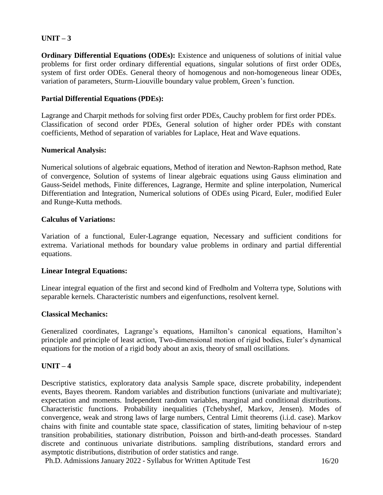# $UNIT - 3$

**Ordinary Differential Equations (ODEs):** Existence and uniqueness of solutions of initial value problems for first order ordinary differential equations, singular solutions of first order ODEs, system of first order ODEs. General theory of homogenous and non-homogeneous linear ODEs, variation of parameters, Sturm-Liouville boundary value problem, Green's function.

### **Partial Differential Equations (PDEs):**

Lagrange and Charpit methods for solving first order PDEs, Cauchy problem for first order PDEs. Classification of second order PDEs, General solution of higher order PDEs with constant coefficients, Method of separation of variables for Laplace, Heat and Wave equations.

### **Numerical Analysis:**

Numerical solutions of algebraic equations, Method of iteration and Newton-Raphson method, Rate of convergence, Solution of systems of linear algebraic equations using Gauss elimination and Gauss-Seidel methods, Finite differences, Lagrange, Hermite and spline interpolation, Numerical Differentiation and Integration, Numerical solutions of ODEs using Picard, Euler, modified Euler and Runge-Kutta methods.

### **Calculus of Variations:**

Variation of a functional, Euler-Lagrange equation, Necessary and sufficient conditions for extrema. Variational methods for boundary value problems in ordinary and partial differential equations.

### **Linear Integral Equations:**

Linear integral equation of the first and second kind of Fredholm and Volterra type, Solutions with separable kernels. Characteristic numbers and eigenfunctions, resolvent kernel.

### **Classical Mechanics:**

Generalized coordinates, Lagrange's equations, Hamilton's canonical equations, Hamilton's principle and principle of least action, Two-dimensional motion of rigid bodies, Euler's dynamical equations for the motion of a rigid body about an axis, theory of small oscillations.

### $UNIT - 4$

Descriptive statistics, exploratory data analysis Sample space, discrete probability, independent events, Bayes theorem. Random variables and distribution functions (univariate and multivariate); expectation and moments. Independent random variables, marginal and conditional distributions. Characteristic functions. Probability inequalities (Tchebyshef, Markov, Jensen). Modes of convergence, weak and strong laws of large numbers, Central Limit theorems (i.i.d. case). Markov chains with finite and countable state space, classification of states, limiting behaviour of n-step transition probabilities, stationary distribution, Poisson and birth-and-death processes. Standard discrete and continuous univariate distributions. sampling distributions, standard errors and asymptotic distributions, distribution of order statistics and range.

Ph.D. Admissions January 2022 - Syllabus for Written Aptitude Test 16/20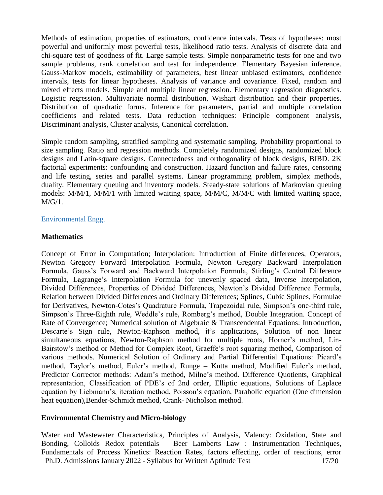Methods of estimation, properties of estimators, confidence intervals. Tests of hypotheses: most powerful and uniformly most powerful tests, likelihood ratio tests. Analysis of discrete data and chi-square test of goodness of fit. Large sample tests. Simple nonparametric tests for one and two sample problems, rank correlation and test for independence. Elementary Bayesian inference. Gauss-Markov models, estimability of parameters, best linear unbiased estimators, confidence intervals, tests for linear hypotheses. Analysis of variance and covariance. Fixed, random and mixed effects models. Simple and multiple linear regression. Elementary regression diagnostics. Logistic regression. Multivariate normal distribution, Wishart distribution and their properties. Distribution of quadratic forms. Inference for parameters, partial and multiple correlation coefficients and related tests. Data reduction techniques: Principle component analysis, Discriminant analysis, Cluster analysis, Canonical correlation.

Simple random sampling, stratified sampling and systematic sampling. Probability proportional to size sampling. Ratio and regression methods. Completely randomized designs, randomized block designs and Latin-square designs. Connectedness and orthogonality of block designs, BIBD. 2K factorial experiments: confounding and construction. Hazard function and failure rates, censoring and life testing, series and parallel systems. Linear programming problem, simplex methods, duality. Elementary queuing and inventory models. Steady-state solutions of Markovian queuing models: M/M/1, M/M/1 with limited waiting space, M/M/C, M/M/C with limited waiting space, M/G/1.

### <span id="page-16-0"></span>Environmental Engg.

### **Mathematics**

Concept of Error in Computation; Interpolation: Introduction of Finite differences, Operators, Newton Gregory Forward Interpolation Formula, Newton Gregory Backward Interpolation Formula, Gauss's Forward and Backward Interpolation Formula, Stirling's Central Difference Formula, Lagrange's Interpolation Formula for unevenly spaced data, Inverse Interpolation, Divided Differences, Properties of Divided Differences, Newton's Divided Difference Formula, Relation between Divided Differences and Ordinary Differences; Splines, Cubic Splines, Formulae for Derivatives, Newton-Cotes's Quadrature Formula, Trapezoidal rule, Simpson's one-third rule, Simpson's Three-Eighth rule, Weddle's rule, Romberg's method, Double Integration. Concept of Rate of Convergence; Numerical solution of Algebraic & Transcendental Equations: Introduction, Descarte's Sign rule, Newton-Raphson method, it's applications, Solution of non linear simultaneous equations, Newton-Raphson method for multiple roots, Horner's method, Lin-Bairstow's method or Method for Complex Root, Graeffe's root squaring method, Comparison of various methods. Numerical Solution of Ordinary and Partial Differential Equations: Picard's method, Taylor's method, Euler's method, Runge – Kutta method, Modified Euler's method, Predictor Corrector methods: Adam's method, Milne's method. Difference Quotients, Graphical representation, Classification of PDE's of 2nd order, Elliptic equations, Solutions of Laplace equation by Liebmann's, iteration method, Poisson's equation, Parabolic equation (One dimension heat equation),Bender-Schmidt method, Crank- Nicholson method.

# **Environmental Chemistry and Micro-biology**

Ph.D. Admissions January 2022 - Syllabus for Written Aptitude Test 17/20 Water and Wastewater Characteristics, Principles of Analysis, Valency: Oxidation, State and Bonding, Colloids Redox potentials – Beer Lamberts Law : Instrumentation Techniques, Fundamentals of Process Kinetics: Reaction Rates, factors effecting, order of reactions, error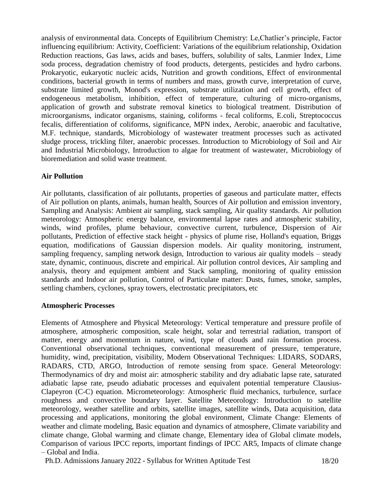analysis of environmental data. Concepts of Equilibrium Chemistry: Le,Chatlier's principle, Factor influencing equilibrium: Activity, Coefficient: Variations of the equilibrium relationship, Oxidation Reduction reactions, Gas laws, acids and bases, buffers, solubility of salts, Lanmier Index, Lime soda process, degradation chemistry of food products, detergents, pesticides and hydro carbons. Prokaryotic, eukaryotic nucleic acids, Nutrition and growth conditions, Effect of environmental conditions, bacterial growth in terms of numbers and mass, growth curve, interpretation of curve, substrate limited growth, Monod's expression, substrate utilization and cell growth, effect of endogeneous metabolism, inhibition, effect of temperature, culturing of micro-organisms, application of growth and substrate removal kinetics to biological treatment. Distribution of microorganisms, indicator organisms, staining, coliforms - fecal coliforms, E.coli, Streptococcus fecalis, differentiation of coliforms, significance, MPN index, Aerobic, anaerobic and facultative, M.F. technique, standards, Microbiology of wastewater treatment processes such as activated sludge process, trickling filter, anaerobic processes. Introduction to Microbiology of Soil and Air and Industrial Microbiology, Introduction to algae for treatment of wastewater, Microbiology of bioremediation and solid waste treatment.

# **Air Pollution**

Air pollutants, classification of air pollutants, properties of gaseous and particulate matter, effects of Air pollution on plants, animals, human health, Sources of Air pollution and emission inventory, Sampling and Analysis: Ambient air sampling, stack sampling, Air quality standards. Air pollution meteorology: Atmospheric energy balance, environmental lapse rates and atmospheric stability, winds, wind profiles, plume behaviour, convective current, turbulence, Dispersion of Air pollutants, Prediction of effective stack height - physics of plume rise, Holland's equation, Briggs equation, modifications of Gaussian dispersion models. Air quality monitoring, instrument, sampling frequency, sampling network design, Introduction to various air quality models – steady state, dynamic, continuous, discrete and empirical. Air pollution control devices, Air sampling and analysis, theory and equipment ambient and Stack sampling, monitoring of quality emission standards and Indoor air pollution, Control of Particulate matter: Dusts, fumes, smoke, samples, settling chambers, cyclones, spray towers, electrostatic precipitators, etc

# **Atmospheric Processes**

Elements of Atmosphere and Physical Meteorology: Vertical temperature and pressure profile of atmosphere, atmospheric composition, scale height, solar and terrestrial radiation, transport of matter, energy and momentum in nature, wind, type of clouds and rain formation process. Conventional observational techniques, conventional measurement of pressure, temperature, humidity, wind, precipitation, visibility, Modern Observational Techniques: LIDARS, SODARS, RADARS, CTD, ARGO, Introduction of remote sensing from space. General Meteorology: Thermodynamics of dry and moist air: atmospheric stability and dry adiabatic lapse rate, saturated adiabatic lapse rate, pseudo adiabatic processes and equivalent potential temperature Clausius-Clapeyron (C-C) equation. Micrometeorology: Atmospheric fluid mechanics, turbulence, surface roughness and convective boundary layer. Satellite Meteorology: Introduction to satellite meteorology, weather satellite and orbits, satellite images, satellite winds, Data acquisition, data processing and applications, monitoring the global environment, Climate Change: Elements of weather and climate modeling, Basic equation and dynamics of atmosphere, Climate variability and climate change, Global warming and climate change, Elementary idea of Global climate models, Comparison of various IPCC reports, important findings of IPCC AR5, Impacts of climate change – Global and India.

Ph.D. Admissions January 2022 - Syllabus for Written Aptitude Test 18/20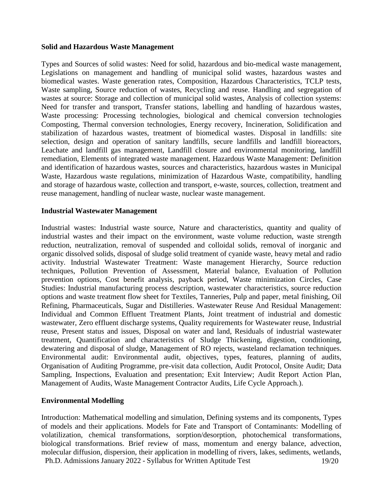#### **Solid and Hazardous Waste Management**

Types and Sources of solid wastes: Need for solid, hazardous and bio-medical waste management, Legislations on management and handling of municipal solid wastes, hazardous wastes and biomedical wastes. Waste generation rates, Composition, Hazardous Characteristics, TCLP tests, Waste sampling, Source reduction of wastes, Recycling and reuse. Handling and segregation of wastes at source: Storage and collection of municipal solid wastes, Analysis of collection systems: Need for transfer and transport, Transfer stations, labelling and handling of hazardous wastes, Waste processing: Processing technologies, biological and chemical conversion technologies Composting, Thermal conversion technologies, Energy recovery, Incineration, Solidification and stabilization of hazardous wastes, treatment of biomedical wastes. Disposal in landfills: site selection, design and operation of sanitary landfills, secure landfills and landfill bioreactors, Leachate and landfill gas management, Landfill closure and environmental monitoring, landfill remediation, Elements of integrated waste management. Hazardous Waste Management: Definition and identification of hazardous wastes, sources and characteristics, hazardous wastes in Municipal Waste, Hazardous waste regulations, minimization of Hazardous Waste, compatibility, handling and storage of hazardous waste, collection and transport, e-waste, sources, collection, treatment and reuse management, handling of nuclear waste, nuclear waste management.

#### **Industrial Wastewater Management**

Industrial wastes: Industrial waste source, Nature and characteristics, quantity and quality of industrial wastes and their impact on the environment, waste volume reduction, waste strength reduction, neutralization, removal of suspended and colloidal solids, removal of inorganic and organic dissolved solids, disposal of sludge solid treatment of cyanide waste, heavy metal and radio activity. Industrial Wastewater Treatment: Waste management Hierarchy, Source reduction techniques, Pollution Prevention of Assessment, Material balance, Evaluation of Pollution prevention options, Cost benefit analysis, payback period, Waste minimization Circles, Case Studies: Industrial manufacturing process description, wastewater characteristics, source reduction options and waste treatment flow sheet for Textiles, Tanneries, Pulp and paper, metal finishing, Oil Refining, Pharmaceuticals, Sugar and Distilleries. Wastewater Reuse And Residual Management: Individual and Common Effluent Treatment Plants, Joint treatment of industrial and domestic wastewater, Zero effluent discharge systems, Quality requirements for Wastewater reuse, Industrial reuse, Present status and issues, Disposal on water and land, Residuals of industrial wastewater treatment, Quantification and characteristics of Sludge Thickening, digestion, conditioning, dewatering and disposal of sludge, Management of RO rejects, wasteland reclamation techniques. Environmental audit: Environmental audit, objectives, types, features, planning of audits, Organisation of Auditing Programme, pre-visit data collection, Audit Protocol, Onsite Audit; Data Sampling, Inspections, Evaluation and presentation; Exit Interview; Audit Report Action Plan, Management of Audits, Waste Management Contractor Audits, Life Cycle Approach.).

### **Environmental Modelling**

Ph.D. Admissions January 2022 - Syllabus for Written Aptitude Test 19/20 Introduction: Mathematical modelling and simulation, Defining systems and its components, Types of models and their applications. Models for Fate and Transport of Contaminants: Modelling of volatilization, chemical transformations, sorption/desorption, photochemical transformations, biological transformations. Brief review of mass, momentum and energy balance, advection, molecular diffusion, dispersion, their application in modelling of rivers, lakes, sediments, wetlands,